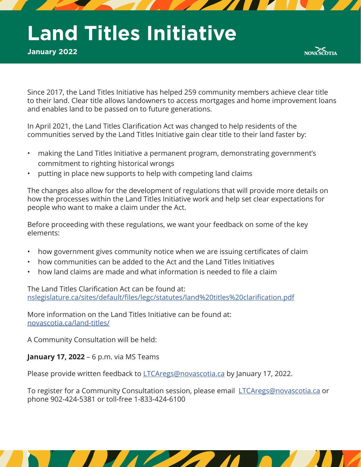# **Land Titles Initiative**

**January 2022**



Since 2017, the Land Titles Initiative has helped 259 community members achieve clear title to their land. Clear title allows landowners to access mortgages and home improvement loans and enables land to be passed on to future generations.

In April 2021, the Land Titles Clarification Act was changed to help residents of the communities served by the Land Titles Initiative gain clear title to their land faster by:

- making the Land Titles Initiative a permanent program, demonstrating government's commitment to righting historical wrongs
- putting in place new supports to help with competing land claims

The changes also allow for the development of regulations that will provide more details on how the processes within the Land Titles Initiative work and help set clear expectations for people who want to make a claim under the Act.

Before proceeding with these regulations, we want your feedback on some of the key elements:

- how government gives community notice when we are issuing certificates of claim
- how communities can be added to the Act and the Land Titles Initiatives
- how land claims are made and what information is needed to file a claim

The Land Titles Clarification Act can be found at: nslegislature.ca/sites/default/files/legc/statutes/land%20titles%20clarification.pdf

More information on the Land Titles Initiative can be found at: novascotia.ca/land-titles/

A Community Consultation will be held:

**January 17, 2022** – 6 p.m. via MS Teams

Please provide written feedback to **LTCAregs@novascotia.ca** by January 17, 2022.

To register for a Community Consultation session, please email LTCAregs@novascotia.ca or phone 902-424-5381 or toll-free 1-833-424-6100